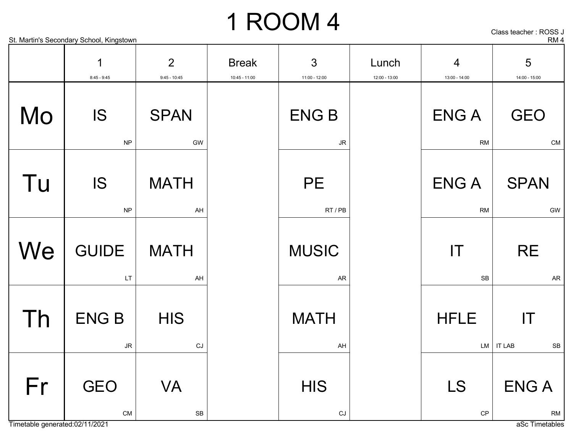Class teacher : ROSS J

#### St. Martin's Secondary School, Kingstown RM 4

|    | 1<br>$8:45 - 9:45$       | $\overline{2}$<br>$9:45 - 10:45$ | <b>Break</b><br>$10:45 - 11:00$ | 3<br>$11:00 - 12:00$                 | Lunch<br>12:00 - 13:00 | $\overline{4}$<br>$13:00 - 14:00$    | 5<br>14:00 - 15:00                                   |
|----|--------------------------|----------------------------------|---------------------------------|--------------------------------------|------------------------|--------------------------------------|------------------------------------------------------|
| Mo | <b>IS</b><br>NP          | <b>SPAN</b><br>GW                |                                 | <b>ENGB</b><br><b>JR</b>             |                        | <b>ENGA</b><br><b>RM</b>             | <b>GEO</b><br>${\sf CM}$                             |
| Tu | <b>IS</b><br><b>NP</b>   | <b>MATH</b><br>AH                |                                 | <b>PE</b><br>RT / PB                 |                        | <b>ENGA</b><br><b>RM</b>             | <b>SPAN</b><br>GW                                    |
| We | <b>GUIDE</b><br>LT       | <b>MATH</b><br>AH                |                                 | <b>MUSIC</b><br><b>AR</b>            |                        | $\mathsf{I}\mathsf{T}$<br>${\sf SB}$ | <b>RE</b><br><b>AR</b>                               |
| Th | <b>ENGB</b><br><b>JR</b> | <b>HIS</b><br>CJ                 |                                 | <b>MATH</b><br>AH                    |                        | <b>HFLE</b><br>LM                    | $\mathsf{I}\mathsf{T}$<br><b>IT LAB</b><br><b>SB</b> |
| Fr | <b>GEO</b><br>${\sf CM}$ | <b>VA</b><br>${\sf SB}$          |                                 | <b>HIS</b><br>$\mathsf{C}\mathsf{J}$ |                        | <b>LS</b><br>$\mathsf{CP}$           | <b>ENGA</b><br><b>RM</b>                             |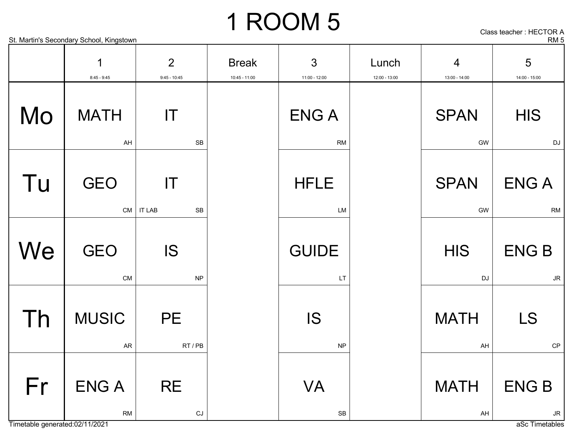Class teacher : HECTOR A

| St. Martin's  | Kingstown | n    |
|---------------|-----------|------|
| . Secondarv ' | School.   | KIVI |

|    | 1<br>$8:45 - 9:45$       | $\overline{2}$<br>$9:45 - 10:45$              | <b>Break</b><br>$10:45 - 11:00$ | 3<br>$11:00 - 12:00$                    | Lunch<br>$12:00 - 13:00$ | $\overline{4}$<br>13:00 - 14:00 | 5<br>14:00 - 15:00                    |
|----|--------------------------|-----------------------------------------------|---------------------------------|-----------------------------------------|--------------------------|---------------------------------|---------------------------------------|
| Mo | <b>MATH</b><br>AH        | $\mathsf{I}\mathsf{T}$<br><b>SB</b>           |                                 | <b>ENGA</b><br><b>RM</b>                |                          | <b>SPAN</b><br>GW               | <b>HIS</b><br>DJ                      |
| Tu | <b>GEO</b>               | $\mathsf{I}\mathsf{T}$<br>$CM$   IT LAB<br>SB |                                 | <b>HFLE</b><br>LM                       |                          | <b>SPAN</b><br>GW               | <b>ENGA</b><br>${\sf RM}$             |
| We | <b>GEO</b><br>CM         | <b>IS</b><br><b>NP</b>                        |                                 | <b>GUIDE</b><br>LT                      |                          | <b>HIS</b><br>DJ                | <b>ENGB</b><br>$\mathsf{J}\mathsf{R}$ |
| Th | <b>MUSIC</b><br>AR       | <b>PE</b><br>RT/PB                            |                                 | <b>IS</b><br><b>NP</b>                  |                          | <b>MATH</b><br>AH               | <b>LS</b><br>CP                       |
| Fr | <b>ENGA</b><br><b>RM</b> | <b>RE</b><br>$\mathsf{C}\mathsf{J}$           |                                 | <b>VA</b><br>$\ensuremath{\mathsf{SB}}$ |                          | <b>MATH</b><br>AH               | <b>ENGB</b><br>$\mathsf{J}\mathsf{R}$ |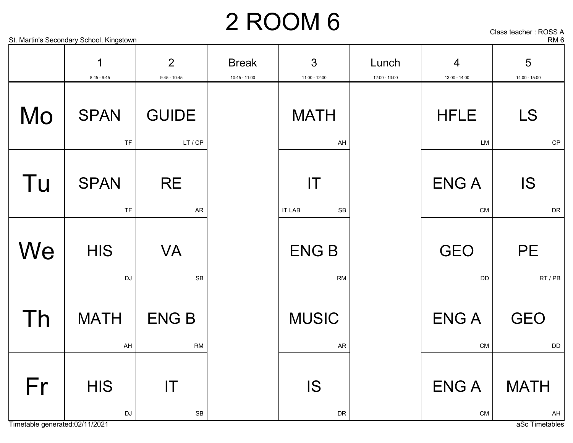Class teacher : ROSS A

#### St. Martin's Secondary School, Kingstown **RM 6** and the second state of the secondary School, Kingstown **RM 6**

|  |  | ass teacher : ROSS , |
|--|--|----------------------|
|  |  | --                   |

|    | 1                        | $\overline{2}$                                 | <b>Break</b>    | 3                                             | Lunch         | $\overline{4}$            | 5                          |
|----|--------------------------|------------------------------------------------|-----------------|-----------------------------------------------|---------------|---------------------------|----------------------------|
|    | $8:45 - 9:45$            | $9:45 - 10:45$                                 | $10:45 - 11:00$ | 11:00 - 12:00                                 | 12:00 - 13:00 | 13:00 - 14:00             | 14:00 - 15:00              |
| Mo | <b>SPAN</b><br><b>TF</b> | <b>GUIDE</b><br>LT/CP                          |                 | <b>MATH</b><br>AH                             |               | <b>HFLE</b><br>LM         | <b>LS</b><br>$\mathsf{CP}$ |
| Tu | <b>SPAN</b><br><b>TF</b> | <b>RE</b><br>${\sf AR}$                        |                 | $\mathsf{I}\mathsf{T}$<br><b>IT LAB</b><br>SB |               | <b>ENG A</b><br><b>CM</b> | <b>IS</b><br>${\sf DR}$    |
| We | <b>HIS</b><br>DJ         | <b>VA</b><br>SB                                |                 | <b>ENGB</b><br>RM                             |               | <b>GEO</b><br><b>DD</b>   | <b>PE</b><br>RT/PB         |
| Th | <b>MATH</b><br>AH        | <b>ENGB</b><br><b>RM</b>                       |                 | <b>MUSIC</b><br>AR                            |               | <b>ENGA</b><br><b>CM</b>  | <b>GEO</b><br>DD           |
| Fr | <b>HIS</b><br>DJ         | $\mathsf{I}\mathsf{T}$<br>$\mathsf{SB}\xspace$ |                 | <b>IS</b><br>DR                               |               | <b>ENGA</b><br>CM         | <b>MATH</b><br>AH          |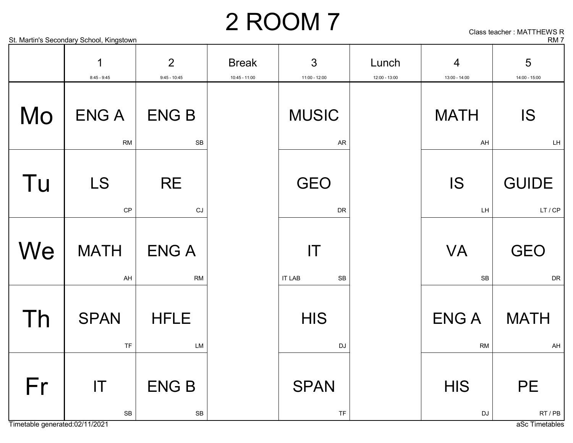#### St. Martin's Secondary School, Kingstown RM 7 2 ROOM 7

Class teacher : MATTHEWS R

|    | 1<br>$8:45 - 9:45$                                   | $\overline{2}$<br>$9:45 - 10:45$ | <b>Break</b><br>10:45 - 11:00 | $\mathfrak{S}$<br>11:00 - 12:00                      | Lunch<br>$12:00 - 13:00$ | $\overline{4}$<br>13:00 - 14:00 | 5<br>14:00 - 15:00      |
|----|------------------------------------------------------|----------------------------------|-------------------------------|------------------------------------------------------|--------------------------|---------------------------------|-------------------------|
| Mo | <b>ENGA</b><br><b>RM</b>                             | <b>ENGB</b><br>SB                |                               | <b>MUSIC</b><br><b>AR</b>                            |                          | <b>MATH</b><br>AH               | IS<br>LH                |
| Tu | <b>LS</b><br>CP                                      | <b>RE</b><br>CJ                  |                               | <b>GEO</b><br><b>DR</b>                              |                          | <b>IS</b><br>LH                 | <b>GUIDE</b><br>LT / CP |
| We | <b>MATH</b><br>AH                                    | <b>ENGA</b><br><b>RM</b>         |                               | $\mathsf{I}\mathsf{T}$<br><b>IT LAB</b><br><b>SB</b> |                          | <b>VA</b><br>SB                 | <b>GEO</b><br><b>DR</b> |
| Th | <b>SPAN</b><br><b>TF</b>                             | <b>HFLE</b><br><b>LM</b>         |                               | <b>HIS</b><br><b>DJ</b>                              |                          | <b>ENGA</b><br><b>RM</b>        | <b>MATH</b><br>AH       |
| Fr | $\mathsf{I}\mathsf{T}$<br>$\ensuremath{\mathsf{SB}}$ | <b>ENGB</b><br>${\sf SB}$        |                               | <b>SPAN</b><br><b>TF</b>                             |                          | <b>HIS</b><br>DJ                | <b>PE</b><br>RT / PB    |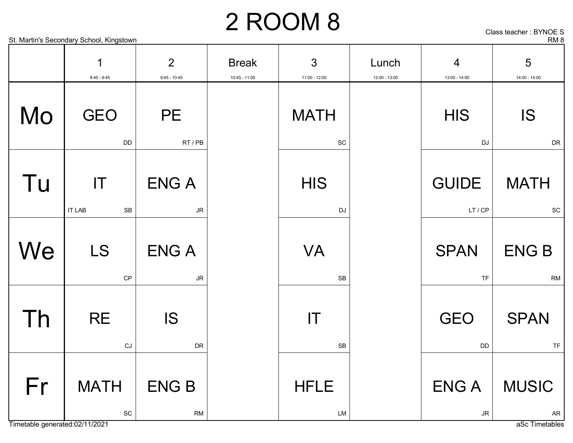3

Lunch

4

Break

Class teacher : BYNOE S

5

#### St. Martin's Secondary School, Kingstown RM 8

1

2

|    | $8:45 - 9:45$                               | $9:45 - 10:45$                        | $10:45 - 11:00$ | 11:00 - 12:00                               | 12:00 - 13:00 | 13:00 - 14:00            | 14:00 - 15:00             |
|----|---------------------------------------------|---------------------------------------|-----------------|---------------------------------------------|---------------|--------------------------|---------------------------|
| Mo | <b>GEO</b><br><b>DD</b>                     | <b>PE</b><br>RT/PB                    |                 | <b>MATH</b><br>$\operatorname{\textsf{SC}}$ |               | <b>HIS</b><br>DJ         | <b>IS</b><br><b>DR</b>    |
| Tu | T <br><b>IT LAB</b><br>SB                   | <b>ENGA</b><br>JR                     |                 | <b>HIS</b><br>DJ                            |               | <b>GUIDE</b><br>LT/CP    | <b>MATH</b><br>SC         |
| We | <b>LS</b><br>CP                             | <b>ENGA</b><br>$\mathsf{J}\mathsf{R}$ |                 | <b>VA</b><br><b>SB</b>                      |               | <b>SPAN</b><br><b>TF</b> | <b>ENGB</b><br><b>RM</b>  |
| Th | <b>RE</b><br>CJ                             | <b>IS</b><br>DR                       |                 | IT<br><b>SB</b>                             |               | <b>GEO</b><br>DD         | <b>SPAN</b><br><b>TF</b>  |
| Fr | <b>MATH</b><br>$\operatorname{\textsf{SC}}$ | <b>ENGB</b><br><b>RM</b>              |                 | <b>HFLE</b><br>LM                           |               | <b>ENGA</b><br>JR        | <b>MUSIC</b><br><b>AR</b> |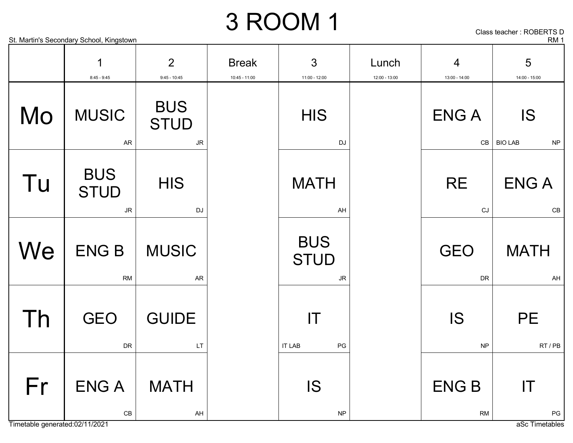#### St. Martin's Secondary School, Kingstown **RM 1** 3 ROOM 1

IT LAB PG

IS

NP

Class teacher : ROBERTS D

|    | 1<br>$8:45 - 9:45$               | $\overline{2}$<br>$9:45 - 10:45$       | <b>Break</b><br>10:45 - 11:00 | 3<br>11:00 - 12:00                     |  |
|----|----------------------------------|----------------------------------------|-------------------------------|----------------------------------------|--|
| Mo | <b>MUSIC</b><br><b>AR</b>        | <b>BUS</b><br><b>STUD</b><br><b>JR</b> |                               | <b>HIS</b><br><b>DJ</b>                |  |
| Tu | <b>BUS</b><br><b>STUD</b><br>JR. | <b>HIS</b><br><b>DJ</b>                |                               | <b>MATH</b><br>AH                      |  |
| We | <b>ENGB</b><br><b>RM</b>         | <b>MUSIC</b><br><b>AR</b>              |                               | <b>BUS</b><br><b>STUD</b><br><b>JR</b> |  |
|    | GEO                              | <b>GUIDE</b>                           |                               |                                        |  |

LT

AH

MATH

DR

CB

ENG A



Fr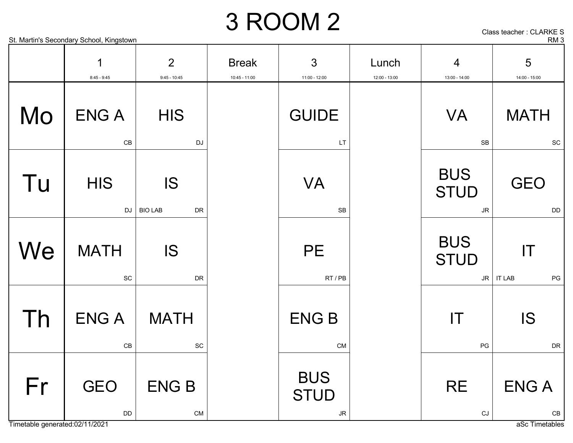Class teacher : CLARKE S

|                                                   | St. Martin's Secondary School, Kingstown   |                                             |                                 |                                                     |                        |                                                     | RM <sub>3</sub>                             |
|---------------------------------------------------|--------------------------------------------|---------------------------------------------|---------------------------------|-----------------------------------------------------|------------------------|-----------------------------------------------------|---------------------------------------------|
|                                                   | 1<br>$8:45 - 9:45$                         | $\overline{2}$<br>$9:45 - 10:45$            | <b>Break</b><br>$10:45 - 11:00$ | 3<br>$11:00 - 12:00$                                | Lunch<br>12:00 - 13:00 | 4<br>13:00 - 14:00                                  | 5<br>14:00 - 15:00                          |
| Mo                                                | <b>ENGA</b><br>$\mathsf{CB}$               | <b>HIS</b><br><b>DJ</b>                     |                                 | <b>GUIDE</b><br>LT                                  |                        | <b>VA</b><br>${\sf SB}$                             | <b>MATH</b><br>$\operatorname{\textsf{SC}}$ |
| Tu                                                | <b>HIS</b><br>DJ                           | <b>IS</b><br><b>BIO LAB</b><br>DR           |                                 | <b>VA</b><br>SB                                     |                        | <b>BUS</b><br><b>STUD</b><br>$\mathsf{J}\mathsf{R}$ | <b>GEO</b><br>DD                            |
| We                                                | <b>MATH</b><br>$\protect\operatorname{SC}$ | <b>IS</b><br>DR                             |                                 | <b>PE</b><br>RT / PB                                |                        | <b>BUS</b><br><b>STUD</b>                           | IT<br>$JR$ IT LAB<br>PG                     |
| $\overline{\phantom{a}}$ $\overline{\phantom{a}}$ | <b>ENGA</b><br>CB                          | <b>MATH</b><br>$\operatorname{\textsf{SC}}$ |                                 | <b>ENGB</b><br><b>CM</b>                            |                        | IT<br>$\mathsf{PG}$                                 | <b>IS</b><br>DR                             |
| Fr                                                | <b>GEO</b><br>DD                           | <b>ENGB</b><br>CM                           |                                 | <b>BUS</b><br><b>STUD</b><br>$\mathsf{J}\mathsf{R}$ |                        | <b>RE</b><br>$\mathop{\rm CJ}$                      | <b>ENGA</b><br>$\mathsf{CB}$                |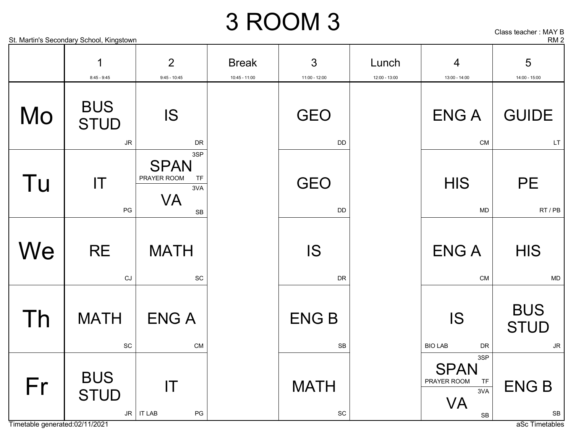Class teacher : MAY B

#### St. Martin's Secondary School, Kingstown RM 2

|    | 1                                                                    | $\overline{2}$                                                    | <b>Break</b>    | 3                                           | Lunch         | $\overline{4}$                                                                  | 5                                      |
|----|----------------------------------------------------------------------|-------------------------------------------------------------------|-----------------|---------------------------------------------|---------------|---------------------------------------------------------------------------------|----------------------------------------|
| Mo | $8:45 - 9:45$<br><b>BUS</b><br><b>STUD</b><br>$\mathsf{J}\mathsf{R}$ | $9:45 - 10:45$<br><b>IS</b><br><b>DR</b>                          | $10:45 - 11:00$ | 11:00 - 12:00<br><b>GEO</b><br><b>DD</b>    | 12:00 - 13:00 | 13:00 - 14:00<br><b>ENGA</b><br><b>CM</b>                                       | 14:00 - 15:00<br><b>GUIDE</b><br>LT    |
| Tu | $\mathsf{I}\mathsf{T}$<br>$\mathsf{PG}$                              | 3SP<br><b>SPAN</b><br>PRAYER ROOM<br>TF<br>3VA<br><b>VA</b><br>SB |                 | <b>GEO</b><br><b>DD</b>                     |               | <b>HIS</b><br><b>MD</b>                                                         | <b>PE</b><br>RT / PB                   |
| We | <b>RE</b><br>CJ                                                      | <b>MATH</b><br>$\operatorname{\textsf{SC}}$                       |                 | <b>IS</b><br><b>DR</b>                      |               | <b>ENGA</b><br>CM                                                               | <b>HIS</b><br><b>MD</b>                |
| Th | <b>MATH</b><br>$\operatorname{\textsf{SC}}$                          | <b>ENGA</b><br>CM                                                 |                 | <b>ENGB</b><br><b>SB</b>                    |               | <b>IS</b><br><b>BIO LAB</b><br><b>DR</b>                                        | <b>BUS</b><br><b>STUD</b><br><b>JR</b> |
| Fr | <b>BUS</b><br><b>STUD</b>                                            | IT<br>$JR$   IT LAB<br>$\mathsf{PG}$                              |                 | <b>MATH</b><br>$\operatorname{\textsf{SC}}$ |               | 3SP<br><b>SPAN</b><br>PRAYER ROOM<br><b>TF</b><br>3VA<br><b>VA</b><br><b>SB</b> | <b>ENGB</b><br>SB                      |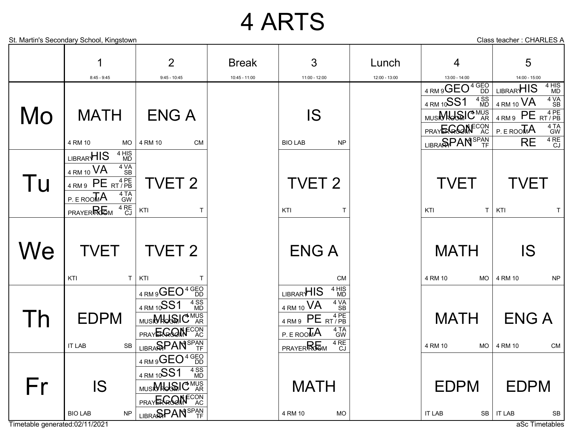### 4 ARTS

**MATH** 4 RM 10 MO ENG A 4 RM 10 CM IS BIO LAB NP  $4$  RM  $9$  PE  $_{RT/PB}$  $P.E$  ROOMA 4 TA<br>GW  $RE$ <sup>4 RE</sup> 4 RM 10 **VA** 4 VA 4 RM 9 $\mathsf{GEO}^4\substack{\mathsf{GEO}\ \mathsf{DD}}$ PRAYERGOM<sup>ECON</sup> LIBRARHIS 4 HIS<br>MD 4 RM 10SS1 4 SS<br>MD LIBRA**SPAN**<sup>SPAN</sup> MUSI**MUSIC** MUS TVET 2 KTI T  $_{\rm 4\,RM\,9}$  PE  $_{\rm RT/PB}^{\rm 4\,PE}$  $P.E$  ROOMA 4 TA<br>GW PRAYER RG<sub>M</sub> 4 RE  $4$  RM 10 VA 4 VA<br>SB LIBRAR<sup>HIS</sup> 4 HIS<br>MD TVET 2 KTI T TVET KTI T TVET KTI T TVET KTI T TVET 2 KTI T ENG A CM **MATH** 4 RM 10 MO IS 4 RM 10 NP 4 RM 9 $\mathsf{GEO}^4\substack{\mathsf{GEO}\ \mathsf{DD}}$ PRAYERGOM<sup>ECON</sup>  $4$  RM 10SS1 4 SS LIBRA**SPAN**<sup>SPAN</sup> EDPM **MUSIMUS**IC<sup>MUS</sup> AR IT LAB SB  $4$  RM 9 PE RT/PB  $P.E$  ROO $\overline{M}A$ 4 TA<br>GW PRAYER**ROOM** <sup>4 RE</sup> 4 RE  $4$  RM 10  $VA$   $4$  VA SB 4 VA LIBRAR<sup>HIS</sup> <sup>4 HIS</sup> 4 HIS **MATH** 4 RM 10 MO ENG A 4 RM 10 CM 4 RM 9 $\mathsf{GEO}^4\substack{\mathsf{GEO}\ \mathsf{DD}}$ PRAY**ER GOOM** ECON<br>AC 4 RM 10SS1 4 SS libra**span**<sup>span</sup> IS BIO LAB NP MUSI**MUSIC** MUS **MATH** 4 RM 10 MO EDPM IT LAB SB EDPM IT LAB SB Mo Tu **We** Th Fr 1 8:45 - 9:45 2 9:45 - 10:45 Break 10:45 - 11:00 3 11:00 - 12:00 Lunch 12:00 - 13:00 4 13:00 - 14:00 5 14:00 - 15:00

Timetable generated:02/11/2021 aSc Timetables

St. Martin's Secondary School, Kingstown Class teacher : CHARLES A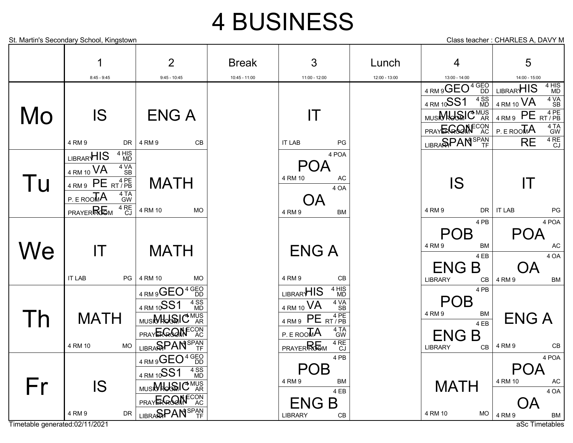## 4 BUSINESS

| 4                                           | $\overline{2}$       | <b>Break</b>    | 3                     | Lunch         | 4                                 | 5                                         |
|---------------------------------------------|----------------------|-----------------|-----------------------|---------------|-----------------------------------|-------------------------------------------|
| $8:45 - 9:45$                               | $9:45 - 10:45$       | $10:45 - 11:00$ | $11:00 - 12:00$       | 12:00 - 13:00 | 13:00 - 14:00                     | 14:00 - 15:00                             |
|                                             |                      |                 |                       |               | 4 RM 9GEO <sup>4 GEO</sup>        | 4 HIS<br>MD<br>LIBRAR <sup>HIS</sup>      |
|                                             |                      |                 |                       |               | 4 SS<br>MD<br>4 RM 10SS1          | 4 VA<br>SB<br>$4$ RM 10 $VA$              |
| <b>IS</b>                                   | <b>ENGA</b>          |                 | IT                    |               | MUSINHONIC MUS                    | 4 RM 9 PE RT/PB                           |
|                                             |                      |                 |                       |               | PRAYERGOMFCON                     | $4$ TA<br>GW<br>$P.E$ ROO $\overline{M}A$ |
| 4 RM 9<br>DR.                               | 4 RM 9<br><b>CB</b>  |                 | <b>IT LAB</b><br>PG   |               | LIBRA <b>SPAN</b> <sup>SPAN</sup> | $4$ RE<br>CJ<br><b>RE</b>                 |
| 4 HIS<br>LIBRAR <sup>HIS</sup><br><b>MD</b> |                      |                 | 4 POA                 |               |                                   |                                           |
| $4 VAP$<br>SB<br>4 RM 10 VA                 |                      |                 | <b>POA</b>            |               |                                   |                                           |
| $4$ RM9 PE RT/PB                            | <b>MATH</b>          |                 | 4 RM 10<br>AC<br>4 OA |               | IS                                | IТ                                        |
| 4 TA<br>GW<br>P.EROOMA                      |                      |                 | ОA                    |               |                                   |                                           |
| 4 RE<br>CJ<br><b>PRAYERREM</b>              | 4 RM 10<br><b>MO</b> |                 | 4 RM 9<br><b>BM</b>   |               | 4 RM 9<br>DR                      | PG<br><b>IT LAB</b>                       |
|                                             |                      |                 |                       |               | 4 PB                              | 4 POA                                     |
|                                             |                      |                 |                       |               | <b>POB</b>                        | <b>POA</b>                                |
| IT                                          | <b>MATH</b>          |                 | <b>ENGA</b>           |               | 4 RM 9<br><b>BM</b>               | <b>AC</b>                                 |
|                                             |                      |                 |                       |               | 4 EB                              | 4 OA                                      |
|                                             |                      |                 |                       |               | <b>ENGB</b>                       |                                           |
| <b>IT LAB</b><br>PG                         | <b>MO</b><br>4 RM 10 |                 | 4 RM 9<br>CB          |               | <b>LIBRARY</b><br>CB              | 4 RM 9<br><b>BM</b>                       |

 $4$  RM 9 PE RT/PB

POB 4 RM 9 BM

ENG B<sub>CB</sub>

 $4$  RM 10  $\overline{VA}$   $4\overline{VA}$   $4\overline{VA}$ 

LIBRAR<sup>HIS</sup> <sup>4 HIS</sup>

4 TA<br>GW

4 VA

4 HIS

4 RE

4 PB

4 EB

 $P.E$  ROO $\overline{M}A$ 

LIBRARY

PRAYER ROOM

Timetable generated:02/11/2021 and the control of the control of the control of the control of the control of the control of the control of the control of the control of the control of the control of the control of the con libra**span**<sup>span</sup> 4 RM 9 DR

**MATH** 

Mo

Tu

**We** 

Th

Fr

4 RM 10 MO

IS

4 RM 9 $\mathsf{GEO}^4\substack{\mathsf{GEO}\ \mathsf{DD}}$ 

 $\sim$ 

4 SS

**FCON**<br>AC

4 SS

 $4$  RM 10 $\overline{SS1}$ 

PRAYERGOM<sup>ECON</sup>

MUSI**MUSIC** MUS

LIBRA**SPAN**<sup>SPAN</sup>

4 RM 9 $\mathsf{GEO}^4\substack{\mathsf{GEO}\ \mathsf{DD}}$ 

<sub>MUSI</sub>MUSIC<sup>MUS</sup>

PRAY**ER GOOM** 

 $4$  RM 10SS1



POB 4 RM 9 BM

ENG B<sub>CB</sub>

**MATH** 

4 RM 10 MO

LIBRARY

4 PB

 $\frac{BM}{4EB}$  ENG A

4 RM 9 CB

POA 4 RM 10 AC

OA 4 RM 9 BM

4 OA

4 POA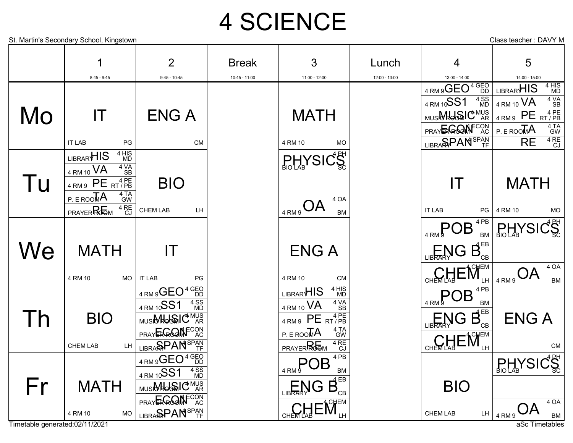# 4 SCIENCE

|                          | St. Martin's Secondary School, Kingstown                                              |                                   |               |                                                                                                                                             |               |                                                                                                                               | Class teacher: DAVY M                         |
|--------------------------|---------------------------------------------------------------------------------------|-----------------------------------|---------------|---------------------------------------------------------------------------------------------------------------------------------------------|---------------|-------------------------------------------------------------------------------------------------------------------------------|-----------------------------------------------|
|                          |                                                                                       |                                   |               |                                                                                                                                             |               |                                                                                                                               |                                               |
|                          |                                                                                       | $\overline{2}$                    | <b>Break</b>  | 3                                                                                                                                           | Lunch         | 4                                                                                                                             | 5                                             |
|                          | $8:45 - 9:45$                                                                         | $9:45 - 10:45$                    | 10:45 - 11:00 | 11:00 - 12:00                                                                                                                               | 12:00 - 13:00 | 13:00 - 14:00                                                                                                                 | 14:00 - 15:00                                 |
|                          |                                                                                       |                                   |               |                                                                                                                                             |               | 4 RM 9 GEO <sup>4 GEO</sup>                                                                                                   | 4 HIS<br>MD<br>LIBRARHIS                      |
|                          |                                                                                       |                                   |               |                                                                                                                                             |               | $\frac{4}{1}$ MD<br>4 RM 10SS1                                                                                                | $4\sqrt{\text{A}}$<br>SB<br>4 RM 10 VA        |
| Mo                       | $\mathsf{I}\mathsf{T}$                                                                | <b>ENGA</b>                       |               | <b>MATH</b>                                                                                                                                 |               | MUSIONOSIC <sup>MUS</sup>                                                                                                     | 4 RM 9 PE RT/PB                               |
|                          |                                                                                       |                                   |               |                                                                                                                                             |               | PRAYERGOM <sup>ECON</sup> AC                                                                                                  | 4 TA<br>GW<br>P.EROO <sub>M</sub> A           |
|                          | <b>IT LAB</b><br>PG                                                                   | <b>CM</b>                         |               | 4 RM 10<br><b>MO</b>                                                                                                                        |               | LIBRA <b>SPAN</b> <sup>SPAN</sup>                                                                                             | $4 RCJ$<br><b>RE</b>                          |
|                          | 4 HIS<br>LIBRAR <sup>HIS</sup><br><b>MD</b>                                           |                                   |               | <b>PHYSICS</b>                                                                                                                              |               |                                                                                                                               |                                               |
|                          | 4 VA<br>4 RM 10 VA<br><b>SB</b>                                                       |                                   |               |                                                                                                                                             |               |                                                                                                                               |                                               |
| I U                      | $4 \overline{R}$ PE $\overline{R}$ $\overline{P}$ PE $\overline{R}$ $\overline{P}$ PE | <b>BIO</b>                        |               |                                                                                                                                             |               | IT                                                                                                                            | <b>MATH</b>                                   |
|                          | 4 TA<br>GW<br>$P.E.$ ROOMA                                                            |                                   |               | 4 OA                                                                                                                                        |               |                                                                                                                               |                                               |
|                          | $4 R E C J$<br><b>PRAYERRGM</b>                                                       | CHEM LAB<br>LH.                   |               | $A O_{\frac{4 \, RM}{3}}$<br><b>BM</b>                                                                                                      |               | <b>IT LAB</b><br>PG                                                                                                           | 4 RM 10<br><b>MO</b>                          |
|                          |                                                                                       |                                   |               |                                                                                                                                             |               | 4 PB<br>$\mathsf{POB}$                                                                                                        | <b>PHYSICS</b>                                |
|                          |                                                                                       |                                   |               |                                                                                                                                             |               | <b>BM</b>                                                                                                                     |                                               |
| We                       | <b>MATH</b>                                                                           | IT                                |               | <b>ENGA</b>                                                                                                                                 |               | $\overline{\mathsf{L}}$ LIBRARN G $\overline{\mathsf{B}}_{\scriptscriptstyle{\mathsf{CP}}}^{\scriptscriptstyle{\mathsf{EB}}}$ |                                               |
|                          | 4 RM 10<br><b>MO</b>                                                                  | <b>IT LAB</b><br>PG               |               | 4 RM 10<br><b>CM</b>                                                                                                                        |               | $\mathbb{E}[\mathbf{M}_{\text{CHEM}}]$                                                                                        | 4 OA<br>$AO_{\frac{4 \, RM\,9}}$<br><b>BM</b> |
|                          |                                                                                       | 4 RM 9 GEO <sup>4 GEO</sup>       |               | 4 HIS<br>MD<br>LIBRAR <sup>HIS</sup>                                                                                                        |               | 4 PB                                                                                                                          |                                               |
|                          |                                                                                       | 4 SS<br>MD<br>4 RM 10SS1          |               | 4 VA<br>4 RM 10 VA                                                                                                                          |               | $\frac{1}{4}$ RM <sup>9</sup> OB<br><b>BM</b>                                                                                 |                                               |
| $\overline{\phantom{a}}$ | <b>BIO</b>                                                                            | MUSINHOGAIC <sup>MUS</sup> AR     |               | <b>SB</b><br>4 RM 9 PE RT/PB                                                                                                                |               | $\mathop{\mathsf{LIBRARM}}\limits_{\mathsf{LIBRARM}}\mathsf{G} \; \mathsf{B}_{\textsf{\tiny CB}}^{\textsf{\tiny EB}}$         | <b>ENG A</b>                                  |
|                          |                                                                                       | PRAYERGOMFCON                     |               | $4T\overline{A}$<br>GW<br>P.EROO <sub>M</sub> A                                                                                             |               |                                                                                                                               |                                               |
|                          | <b>CHEM LAB</b><br>LH                                                                 | LIBRA <b>SPAN</b> <sup>SPAN</sup> |               | 4 RE<br>CJ<br><b>PRAYERROOM</b>                                                                                                             |               |                                                                                                                               | <b>CM</b>                                     |
|                          |                                                                                       | $4$ RM 9 GEO <sup>4 GEO</sup>     |               | $\frac{1}{4 \text{ RM}^9}$ POB <sup>4PB</sup>                                                                                               |               |                                                                                                                               | $\frac{1}{\text{BIO LAB}}\sqrt{\text{SIC}}$   |
|                          |                                                                                       | 4 SS<br>MD<br>4 RM 10SS1          |               |                                                                                                                                             |               |                                                                                                                               |                                               |
| Fr                       | <b>MATH</b>                                                                           | MUSION OF MUS                     |               | $\fbox{$\sqsubseteq$ $\mathbb{N}$} \mathbb{G} \stackrel{\mathbb{B}^{\mathbb{B}}}{\mathbb{B}^{\mathbb{B}}_{\scriptscriptstyle{\mathbb{C}}}}$ |               | <b>BIO</b>                                                                                                                    |                                               |
|                          |                                                                                       | PRAYERGOMFCON                     |               |                                                                                                                                             |               |                                                                                                                               | 4 OA                                          |
|                          | 4 RM 10<br><b>MO</b>                                                                  | LIBRA <b>SPAN</b> <sup>SPAN</sup> |               | CHEMLAB EM                                                                                                                                  |               | CHEM LAB                                                                                                                      | LH $ $ 4 RM 9 $OA$<br>BM                      |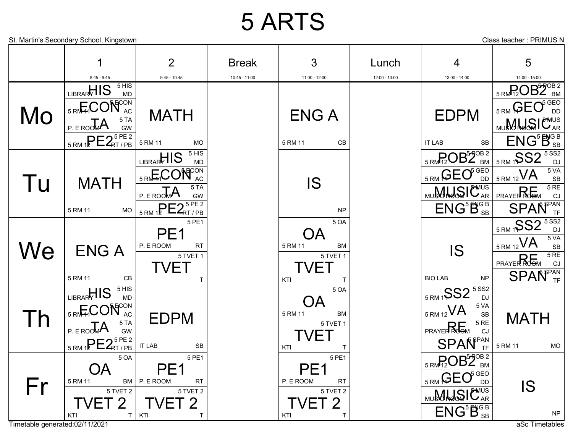### 5 ARTS

St. Martin's Secondary School, Kingstown **Class teacher** : PRIMUS N

|    | 1                                 | $\overline{2}$                                     | <b>Break</b>    | $\mathbf{3}$                                    | Lunch         | 4                                                                             | 5                                                                   |
|----|-----------------------------------|----------------------------------------------------|-----------------|-------------------------------------------------|---------------|-------------------------------------------------------------------------------|---------------------------------------------------------------------|
|    | $8:45 - 9:45$                     | $9:45 - 10:45$                                     | $10:45 - 11:00$ | 11:00 - 12:00                                   | 12:00 - 13:00 | 13:00 - 14:00                                                                 | 14:00 - 15:00                                                       |
|    | LIBRARHIS SHIS                    |                                                    |                 |                                                 |               |                                                                               | $_{5\,RM}$ P <sub>2</sub> OB <sub>2</sub> <sup>OB<sub>2</sub></sup> |
| Mo | <b>SRM-HCON</b><br>5TA            | <b>MATH</b>                                        |                 | <b>ENGA</b>                                     |               | <b>EDPM</b>                                                                   | $\frac{1}{5 \text{ RM}}$ GEO <sup>6GEO</sup>                        |
|    | $P.E.$ ROOMA<br>GW                |                                                    |                 |                                                 |               |                                                                               | MUSH JOSI CAR                                                       |
|    | $5$ RM 12 $PE2RT/PB5PE 2$         | 5 RM 11<br><b>MO</b>                               |                 | 5 RM 11<br>CB                                   |               | SB<br><b>IT LAB</b>                                                           | ENG <sup>5B</sup> <sub>SB</sub>                                     |
| Tu | <b>MATH</b>                       | LIBRARY 15                                         |                 | <b>IS</b>                                       |               | $_{5\text{ RM}P_2O}B2_{\text{BM}}^{570B2}$                                    | 5RM19S2                                                             |
|    |                                   | 5 RM HOON<br>$5T_A$<br>P. E ROOMA<br>GW            |                 |                                                 |               | $_{5 \text{ RM}}$ GEO <sup>5 GEO</sup>                                        | 5 VA<br>$\frac{1}{15 \text{ RM } 12} VA$<br>SB                      |
|    |                                   |                                                    |                 |                                                 |               | MUSANGSIC <sup>NUS</sup>                                                      | $\frac{5 \text{ RE}}{\text{CJ}}$<br><b>PRAYER ROOM</b>              |
|    | 5 RM 11<br><b>MO</b>              | $5$ RM 12 $PE2RT/PB5PE2$                           |                 | <b>NP</b>                                       |               | $\overline{\mathsf{ENG}^5\mathsf{B}^{\text{GB}}_{\text{SB}}}$                 | <b>SPAÑ</b> <sup>PAN</sup>                                          |
| We |                                   | 5 PE1<br>PE <sub>1</sub><br>P. E ROOM<br><b>RT</b> |                 | 5 OA                                            |               | <b>IS</b><br><b>BIO LAB</b><br><b>NP</b>                                      | $5$ SS2<br>$\frac{5 \text{ RM}}{1}$ SS2<br><b>DJ</b>                |
|    |                                   |                                                    |                 | ОA<br>5 RM 11<br><b>BM</b>                      |               |                                                                               | 5 VA<br>$5$ RM 12 VA<br>SB                                          |
|    | <b>ENGA</b>                       | 5 TVET 1                                           |                 | 5 TVET 1                                        |               |                                                                               | 5RE<br><b>PRAYER ROOM</b><br>CJ                                     |
|    | 5 RM 11<br>CB                     | <b>TVET</b>                                        |                 | <b>TVET</b>                                     |               |                                                                               | <b>SPAÑ</b> <sup><sup><i>FPAN</i></sup></sup>                       |
|    |                                   | Τ                                                  |                 | KTI<br>Τ<br>5 OA                                |               |                                                                               |                                                                     |
|    | LIBRARHIS SHIS                    |                                                    |                 |                                                 |               | 5 RM 1SS2 5 SS2<br>5 VA                                                       |                                                                     |
|    | 5 RM HOON AC                      | <b>EDPM</b>                                        |                 | <b>BM</b><br>5 RM 11<br>5 TVET 1<br><b>TVET</b> |               | $5$ RM 12 VA<br>$\ensuremath{\mathsf{SB}}$<br>5RE<br><b>PRAYER ROOM</b><br>CJ | <b>MATH</b>                                                         |
|    | $5T_A$<br>P.EROOMA<br>GW          |                                                    |                 |                                                 |               |                                                                               |                                                                     |
|    | $5$ RM 12 $PE2RT/PB$              | SB<br><b>IT LAB</b>                                |                 | KTI<br>Τ                                        |               | <b>SPAÑ</b> <sup>PAN</sup> <sub>TF</sub>                                      | 5 RM 11<br><b>MO</b>                                                |
| Fr | 5 OA                              | 5 PE1                                              |                 | 5 PE1                                           |               | $_{5\text{ RM}}$ $P_2$ OB $^{57}$ OB <sub>2</sub>                             |                                                                     |
|    | <b>OA</b><br>5 RM 11<br><b>BM</b> | PE <sub>1</sub><br>P. E ROOM<br><b>RT</b>          |                 | PE <sub>1</sub><br>P. E ROOM<br><b>RT</b>       |               | $\frac{5 \text{ RM}}{5 \text{ RM}}$ GEO <sup>5 GEO</sup>                      |                                                                     |
|    | 5 TVET 2                          | 5 TVET 2                                           |                 | 5 TVET 2                                        |               | <b>MUSH HOW LAR</b>                                                           | IS                                                                  |
|    | ET 2<br>KTI                       | <b>TVET 2</b><br>$T$   KTI<br>T                    |                 | TVET 2<br>KTI<br>$\mathsf T$                    |               | $\overline{\mathsf{ENG}^5\mathsf{B}^{\text{GB}}_{\text{SB}}}$                 | ${\sf NP}$                                                          |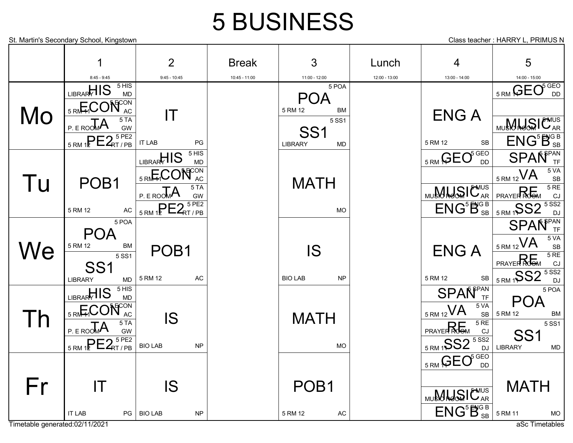### 5 BUSINESS

St. Martin's Secondary School, Kingstown **Class teacher : HARRY L, PRIMUS N** Class teacher : HARRY L, PRIMUS N

|    | 1                                | $\overline{2}$                         | <b>Break</b>  | 3                           | Lunch         | $\overline{4}$                                                    | 5                                    |
|----|----------------------------------|----------------------------------------|---------------|-----------------------------|---------------|-------------------------------------------------------------------|--------------------------------------|
|    | $8:45 - 9:45$<br>5 HIS           | $9:45 - 10:45$                         | 10:45 - 11:00 | 11:00 - 12:00               | 12:00 - 13:00 | 13:00 - 14:00                                                     | 14:00 - 15:00                        |
|    | LIBRARHIS<br><b>MD</b>           |                                        |               | 5 POA<br><b>POA</b>         |               |                                                                   | <b>SRM GEO</b>                       |
|    | 5 RM HOON                        |                                        |               | 5 RM 12<br>BM               |               |                                                                   |                                      |
| Mo | 5T <sub>A</sub>                  | IT                                     |               | 5 SS1                       |               | <b>ENG A</b>                                                      | MU <b>MLLSIC</b> AR                  |
|    | $P. E$ ROOMA<br>GW               |                                        |               | SS <sub>1</sub>             |               |                                                                   |                                      |
|    | $5$ RM 12 $E2RT/PB$              | <b>IT LAB</b><br>PG                    |               | <b>LIBRARY</b><br><b>MD</b> |               | 5 RM 12<br><b>SB</b>                                              | $ENG^5B_{SB}^{GB}$                   |
|    |                                  | LIBRARTIS SHIS                         |               |                             |               | 5 RM GEO <sup>5 GEO</sup>                                         | <b>SPAÑ</b> <sup>FPAN</sup>          |
|    |                                  | 5 RM <sub>4</sub> CON <sub>AC</sub>    |               |                             |               |                                                                   | 5 VA<br>$5$ RM 12 VA<br>SB           |
| Tu | POB <sub>1</sub>                 | 5T <sub>A</sub><br>P.EROOM             |               | <b>MATH</b>                 |               | MUSANGSIC <sup>NUS</sup>                                          | $\frac{5}{CJ}$<br><b>PRAYER ROOM</b> |
|    |                                  | GW<br>$5$ RM 12 $PE2$ <sub>RT/PB</sub> |               |                             |               | $\overline{\mathsf{ENG}^5\mathsf{B}^{\text{GB}}_{\text{SB}}}$     | $5$ SS2                              |
|    | 5 RM 12<br>AC<br>5 POA           |                                        |               | <b>MO</b>                   |               |                                                                   | 5 RM 1SS2<br><b>DJ</b>               |
|    | <b>POA</b>                       |                                        |               |                             |               |                                                                   | <b>SPAÑ</b> <sup>SPAN</sup>          |
|    | 5 RM 12<br><b>BM</b>             |                                        |               |                             |               |                                                                   | 5 VA<br>$5$ RM 12 VA<br>SB           |
| We | 5 SS1                            | POB <sub>1</sub>                       |               | <b>IS</b>                   |               | <b>ENGA</b>                                                       | 5RE<br><b>PRAYER ROOM</b><br>CJ      |
|    | SS <sub>1</sub>                  | 5 RM 12<br>AC                          |               | <b>BIO LAB</b><br><b>NP</b> |               | 5 RM 12<br>SB                                                     | 5 SS2<br>5 RM 1 SS2                  |
|    | <b>LIBRARY</b><br><b>MD</b>      |                                        |               |                             |               |                                                                   | <b>DJ</b><br>5 POA                   |
|    | LIBRARHIS 5 HIS                  |                                        |               |                             |               | <b>SPAÑ</b> <sup>FAN</sup> TF                                     | <b>POA</b>                           |
|    | <b>5 RMHCON</b> AC               | <b>IS</b>                              |               | <b>MATH</b>                 |               | 5 VA<br>$5$ RM 12 VA<br>SB                                        | 5 RM 12<br><b>BM</b>                 |
| Th | 5TA<br>P. E ROOMA<br>GW          |                                        |               |                             |               | 5RE<br><b>PRAYER ROOM</b><br>CJ                                   | 5 SS1                                |
|    | $5$ RM 12 $PE2$ <sub>RT/PB</sub> | <b>BIO LAB</b><br>NP                   |               |                             |               | 5 RM 1 SS2 5 SS2                                                  | SS <sub>1</sub>                      |
|    |                                  |                                        |               | <b>MO</b>                   |               |                                                                   | <b>LIBRARY</b><br><b>MD</b>          |
|    |                                  |                                        |               |                             |               | <b>SRM GEO</b> SGEO                                               |                                      |
| Fr | $\mathsf{I}\mathsf{T}$           | <b>IS</b>                              |               | POB <sub>1</sub>            |               |                                                                   | <b>MATH</b>                          |
|    |                                  |                                        |               |                             |               | MUSKHOSIC <sup>NUS</sup>                                          |                                      |
|    | <b>IT LAB</b><br>$PG \mid$       | <b>BIO LAB</b><br>NP                   |               | 5 RM 12<br>AC               |               | $\overline{\mathsf{ENG}^5\mathsf{B}^{\mathsf{GB}}_{\mathsf{SB}}}$ | 5 RM 11<br><b>MO</b>                 |